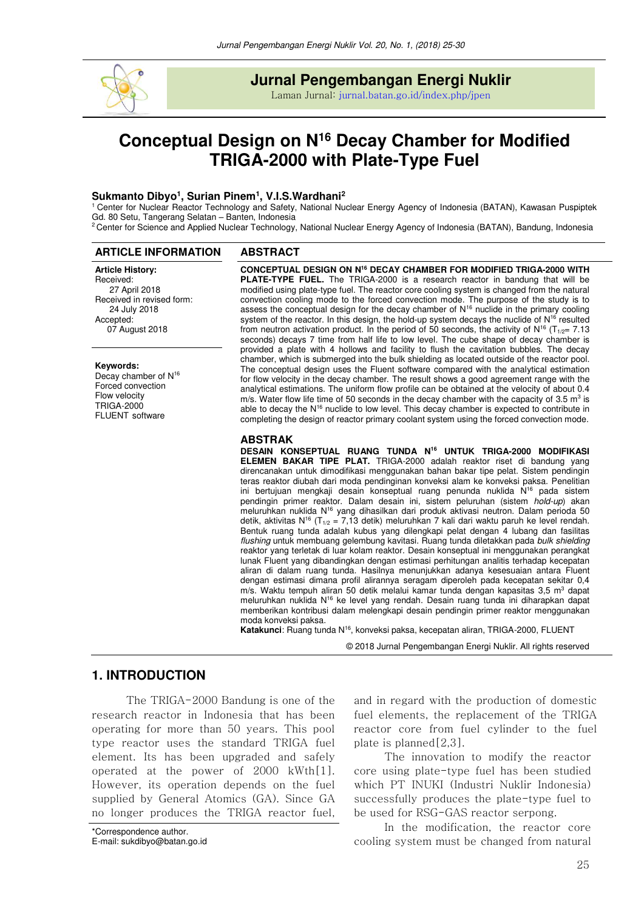

**Jurnal Pengembangan Energi Nuklir** 

*Laman Jurnal: jurnal.batan.go.id/index.php/jpen* 

# **Conceptual Design on N<sup>16</sup> Decay Chamber for Modified TRIGA-2000 with Plate-Type Fuel**

#### **Sukmanto Dibyo<sup>1</sup> , Surian Pinem<sup>1</sup> , V.I.S.Wardhani<sup>2</sup>**

<sup>1</sup> Center for Nuclear Reactor Technology and Safety, National Nuclear Energy Agency of Indonesia (BATAN), Kawasan Puspiptek Gd. 80 Setu, Tangerang Selatan - Banten, Indonesia

<sup>2</sup>Center for Science and Applied Nuclear Technology, National Nuclear Energy Agency of Indonesia (BATAN), Bandung, Indonesia

#### **ARTICLE INFORMATION ABSTRACT**

**Article History:**  Received: 27 April 2018 Received in revised form: 24 July 2018 Accepted: 07 August 2018

#### **Keywords:**

Decay chamber of  $N^{16}$ Forced convection Flow velocity TRIGA-2000 FLUENT software

**CONCEPTUAL DESIGN ON N<sup>16</sup> DECAY CHAMBER FOR MODIFIED TRIGA-2000 WITH PLATE-TYPE FUEL.** The TRIGA-2000 is a research reactor in bandung that will be modified using plate-type fuel. The reactor core cooling system is changed from the natural convection cooling mode to the forced convection mode. The purpose of the study is to assess the conceptual design for the decay chamber of  $N^{16}$  nuclide in the primary cooling system of the reactor. In this design, the hold-up system decays the nuclide of  $N^{16}$  resulted from neutron activation product. In the period of 50 seconds, the activity of  $N^{16}$  (T<sub>1/2</sub>= 7.13 seconds) decays 7 time from half life to low level. The cube shape of decay chamber is provided a plate with 4 hollows and facility to flush the cavitation bubbles. The decay chamber, which is submerged into the bulk shielding as located outside of the reactor pool. The conceptual design uses the Fluent software compared with the analytical estimation for flow velocity in the decay chamber. The result shows a good agreement range with the analytical estimations. The uniform flow profile can be obtained at the velocity of about 0.4 m/s. Water flow life time of 50 seconds in the decay chamber with the capacity of 3.5 m<sup>3</sup> is able to decay the  $N^{16}$  nuclide to low level. This decay chamber is expected to contribute in completing the design of reactor primary coolant system using the forced convection mode.

#### **ABSTRAK**

**DESAIN KONSEPTUAL RUANG TUNDA N<sup>16</sup> UNTUK TRIGA-2000 MODIFIKASI ELEMEN BAKAR TIPE PLAT.** TRIGA-2000 adalah reaktor riset di bandung yang direncanakan untuk dimodifikasi menggunakan bahan bakar tipe pelat. Sistem pendingin teras reaktor diubah dari moda pendinginan konveksi alam ke konveksi paksa. Penelitian ini bertujuan mengkaji desain konseptual ruang penunda nuklida N<sup>16</sup> pada sistem pendingin primer reaktor. Dalam desain ini, sistem peluruhan (sistem hold-up) akan meluruhkan nuklida N<sup>16</sup> yang dihasilkan dari produk aktivasi neutron. Dalam perioda 50 detik, aktivitas N<sup>16</sup> (T<sub>1/2</sub> = 7,13 detik) meluruhkan 7 kali dari waktu paruh ke level rendah. Bentuk ruang tunda adalah kubus yang dilengkapi pelat dengan 4 lubang dan fasilitas flushing untuk membuang gelembung kavitasi. Ruang tunda diletakkan pada bulk shielding reaktor yang terletak di luar kolam reaktor. Desain konseptual ini menggunakan perangkat lunak Fluent yang dibandingkan dengan estimasi perhitungan analitis terhadap kecepatan aliran di dalam ruang tunda. Hasilnya menunjukkan adanya kesesuaian antara Fluent dengan estimasi dimana profil alirannya seragam diperoleh pada kecepatan sekitar 0,4 m/s. Waktu tempuh aliran 50 detik melalui kamar tunda dengan kapasitas 3,5 m<sup>3</sup> dapat meluruhkan nuklida N<sup>16</sup> ke level yang rendah. Desain ruang tunda ini diharapkan dapat memberikan kontribusi dalam melengkapi desain pendingin primer reaktor menggunakan moda konveksi paksa.

**Katakunci**: Ruang tunda N<sup>16</sup>, konveksi paksa, kecepatan aliran, TRIGA-2000, FLUENT

© 2018 Jurnal Pengembangan Energi Nuklir. All rights reserved

## **1. INTRODUCTION**

 *The TRIGA-2000 Bandung is one of the research reactor in Indonesia that has been operating for more than 50 years. This pool type reactor uses the standard TRIGA fuel element. Its has been upgraded and safely operated at the power of 2000 kWth[1]. However, its operation depends on the fuel supplied by General Atomics (GA). Since GA no longer produces the TRIGA reactor fuel,* 

*and in regard with the production of domestic fuel elements, the replacement of the TRIGA reactor core from fuel cylinder to the fuel plate is planned[2,3].*

*The innovation to modify the reactor core using plate-type fuel has been studied which PT INUKI (Industri Nuklir Indonesia) successfully produces the plate-type fuel to be used for RSG-GAS reactor serpong.* 

*In the modification, the reactor core cooling system must be changed from natural* 

<sup>\*</sup>Correspondence author. E-mail: sukdibyo@batan.go.id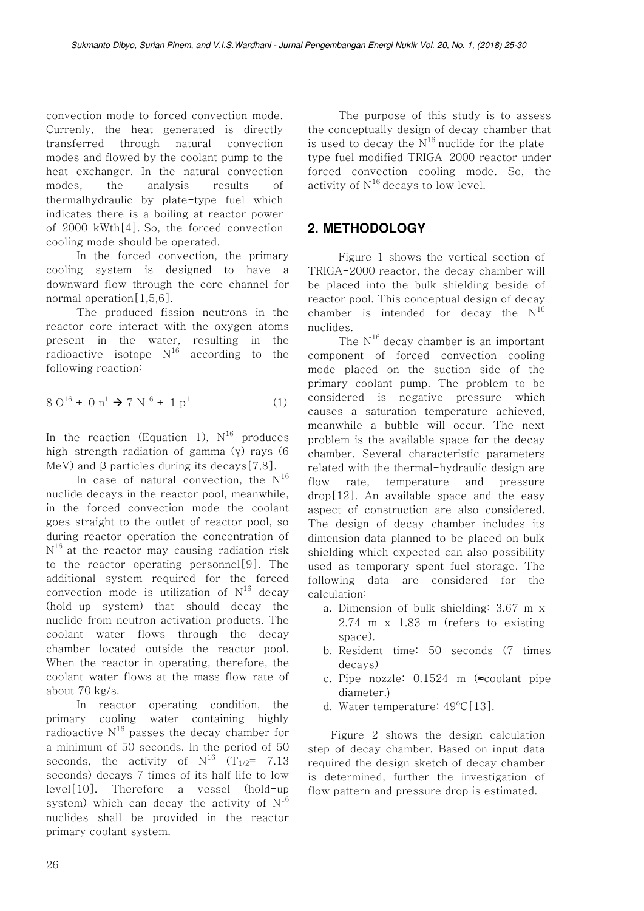*convection mode to forced convection mode. Currenly, the heat generated is directly transferred through natural convection modes and flowed by the coolant pump to the heat exchanger. In the natural convection modes, the analysis results of thermalhydraulic by plate-type fuel which indicates there is a boiling at reactor power of 2000 kWth[4]. So, the forced convection cooling mode should be operated.*

*In the forced convection, the primary cooling system is designed to have a downward flow through the core channel for normal operation[1,5,6].* 

*The produced fission neutrons in the reactor core interact with the oxygen atoms present in the water, resulting in the radioactive isotope N<sup>16</sup> according to the following reaction:* 

$$
8\ 0^{16} + 0\ n^1 \to 7\ N^{16} + 1\ p^1 \tag{1}
$$

*In the reaction (Equation 1), N<sup>16</sup> produces high-strength radiation of gamma* ( $\chi$ ) *rays* (6  $MeV$ ) and  $\beta$  particles during its decays[7,8].

*In case of natural convection, the N<sup>16</sup> nuclide decays in the reactor pool, meanwhile, in the forced convection mode the coolant goes straight to the outlet of reactor pool, so during reactor operation the concentration of N <sup>16</sup>at the reactor may causing radiation risk to the reactor operating personnel[9]. The additional system required for the forced convection mode is utilization of N<sup>16</sup> decay (hold-up system) that should decay the nuclide from neutron activation products. The coolant water flows through the decay chamber located outside the reactor pool. When the reactor in operating, therefore, the coolant water flows at the mass flow rate of about 70 kg/s.* 

*In reactor operating condition, the primary cooling water containing highly radioactive N<sup>16</sup> passes the decay chamber for a minimum of 50 seconds. In the period of 50*  seconds, the activity of  $N^{16}$  (T<sub>1/2</sub>= 7.13) *seconds) decays 7 times of its half life to low level[10]. Therefore a vessel (hold-up system) which can decay the activity of N<sup>16</sup> nuclides shall be provided in the reactor primary coolant system.* 

*The purpose of this study is to assess the conceptually design of decay chamber that is used to decay the N<sup>16</sup>nuclide for the platetype fuel modified TRIGA-2000 reactor under forced convection cooling mode. So, the activity of N<sup>16</sup>decays to low level.* 

## **2. METHODOLOGY**

*Figure 1 shows the vertical section of TRIGA-2000 reactor, the decay chamber will be placed into the bulk shielding beside of reactor pool. This conceptual design of decay chamber is intended for decay the N<sup>16</sup> nuclides.*

*The N<sup>16</sup>decay chamber is an important component of forced convection cooling mode placed on the suction side of the primary coolant pump. The problem to be considered is negative pressure which causes a saturation temperature achieved, meanwhile a bubble will occur. The next problem is the available space for the decay chamber. Several characteristic parameters related with the thermal-hydraulic design are flow rate, temperature and pressure drop[12]. An available space and the easy aspect of construction are also considered. The design of decay chamber includes its dimension data planned to be placed on bulk shielding which expected can also possibility used as temporary spent fuel storage. The following data are considered for the calculation:* 

- *a. Dimension of bulk shielding: 3.67 m x 2.74 m x 1.83 m (refers to existing space).*
- *b. Resident time: 50 seconds (7 times decays)*
- *c. Pipe nozzle: 0.1524 m (*ß*coolant pipe diameter.*)
- *d. Water temperature: 49<sup>o</sup>C[13].*

*Figure 2 shows the design calculation step of decay chamber. Based on input data required the design sketch of decay chamber is determined, further the investigation of flow pattern and pressure drop is estimated.*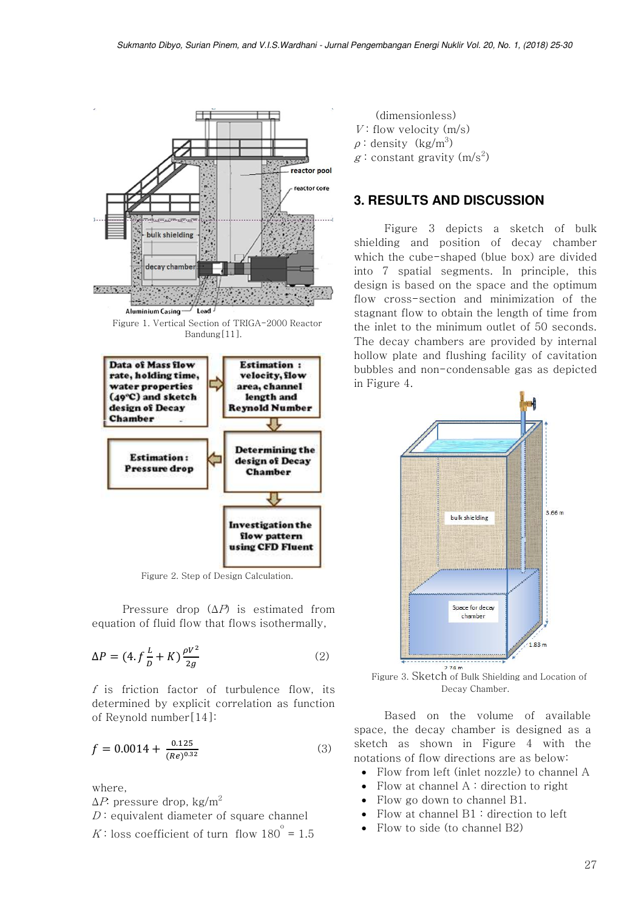

*Figure 1. Vertical Section of TRIGA-2000 Reactor Bandung[11].* 



*Figure 2. Step of Design Calculation.* 

*Pressure drop*  $(\Delta P)$  *is estimated from equation of fluid flow that flows isothermally,* 

$$
\Delta P = (4. f \frac{L}{D} + K) \frac{\rho V^2}{2g} \tag{2}
$$

*f is friction factor of turbulence flow, its determined by explicit correlation as function of Reynold number[14]:* 

$$
f = 0.0014 + \frac{0.125}{(Re)^{0.32}}
$$
 (3)

*where,* 

 $\Delta P$ *:* pressure drop, kg/m<sup>2</sup>

*D* : equivalent diameter of square channel

*K* : loss coefficient of turn flow  $180^\circ$  = 1.5

 *(dimensionless) V* : flow velocity (m/s)  $\rho$ : density (kg/m<sup>3</sup>) *<sup>g</sup> : constant gravity (m/s<sup>2</sup> )* 

## **3. RESULTS AND DISCUSSION**

*Figure 3 depicts a sketch of bulk shielding and position of decay chamber which the cube-shaped (blue box) are divided into 7 spatial segments. In principle, this design is based on the space and the optimum flow cross-section and minimization of the stagnant flow to obtain the length of time from the inlet to the minimum outlet of 50 seconds. The decay chambers are provided by internal hollow plate and flushing facility of cavitation bubbles and non-condensable gas as depicted in Figure 4.* 



*Figure 3. Sketch of Bulk Shielding and Location of Decay Chamber.* 

*Based on the volume of available space, the decay chamber is designed as a sketch as shown in Figure 4 with the notations of flow directions are as below:* 

- x *Flow from left (inlet nozzle) to channel A*
- x *Flow at channel A : direction to right*
- Flow go down to channel B1.
- x *Flow at channel B1 : direction to left*
- Flow to side (to channel B2)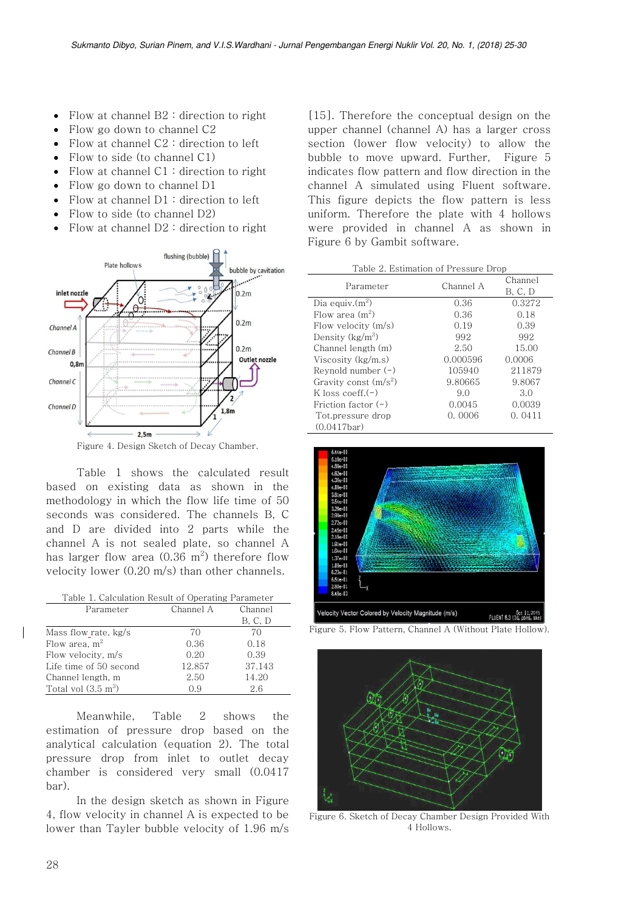- x *Flow at channel B2 : direction to right*
- x *Flow go down to channel C2*
- x *Flow at channel C2 : direction to left*
- x *Flow to side (to channel C1)*
- x *Flow at channel C1 : direction to right*
- x *Flow go down to channel D1*
- x *Flow at channel D1 : direction to left*
- x *Flow to side (to channel D2)*
- x *Flow at channel D2 : direction to right*





*Table 1 shows the calculated result based on existing data as shown in the methodology in which the flow life time of 50 seconds was considered. The channels B, C and D are divided into 2 parts while the channel A is not sealed plate, so channel A has larger flow area (0.36 m<sup>2</sup> ) therefore flow velocity lower (0.20 m/s) than other channels.* 

| Table 1. Calculation Result of Operating Parameter |           |         |  |
|----------------------------------------------------|-----------|---------|--|
| Parameter                                          | Channel A | Channel |  |
|                                                    |           | B, C, D |  |
| Mass flow rate, kg/s                               | 70        | 70      |  |
| Flow area, $m^2$                                   | 0.36      | 0.18    |  |
| Flow velocity, m/s                                 | 0.20      | 0.39    |  |
| Life time of 50 second                             | 12.857    | 37.143  |  |
| Channel length, m                                  | 2.50      | 14.20   |  |
| Total vol $(3.5 \text{ m}^3)$                      | O 9       | 2.6     |  |

*Meanwhile, Table 2 shows the estimation of pressure drop based on the analytical calculation (equation 2). The total pressure drop from inlet to outlet decay chamber is considered very small (0.0417 bar).* 

*In the design sketch as shown in Figure 4, flow velocity in channel A is expected to be lower than Tayler bubble velocity of 1.96 m/s* 

*[15]. Therefore the conceptual design on the upper channel (channel A) has a larger cross section (lower flow velocity) to allow the bubble to move upward. Further, Figure 5 indicates flow pattern and flow direction in the channel A simulated using Fluent software. This figure depicts the flow pattern is less uniform. Therefore the plate with 4 hollows were provided in channel A as shown in Figure 6 by Gambit software.* 

| Table 2. Estimation of Pressure Drop |  |
|--------------------------------------|--|
|--------------------------------------|--|

| Parameter                    | Channel A | Channel |
|------------------------------|-----------|---------|
|                              |           | B, C, D |
| Dia equiv. $(m^2)$           | 0.36      | 0.3272  |
| Flow area $(m^2)$            | 0.36      | 0.18    |
| Flow velocity $(m/s)$        | 0.19      | 0.39    |
| Density (kg/m <sup>3</sup> ) | 992       | 992     |
| Channel length (m)           | 2.50      | 15.00   |
| Viscosity (kg/m.s)           | 0.000596  | 0.0006  |
| Reynold number $(-)$         | 105940    | 211879  |
| Gravity const $(m/s^2)$      | 9.80665   | 9.8067  |
| K loss coeff. $(-)$          | 9.0       | 3.0     |
| Friction factor $(-)$        | 0.0045    | 0.0039  |
| Tot.pressure drop            | 0.0006    | 0.0411  |
| $(0.0417$ bar)               |           |         |



*Figure 5. Flow Pattern, Channel A (Without Plate Hollow).* 



*Figure 6. Sketch of Decay Chamber Design Provided With 4 Hollows.*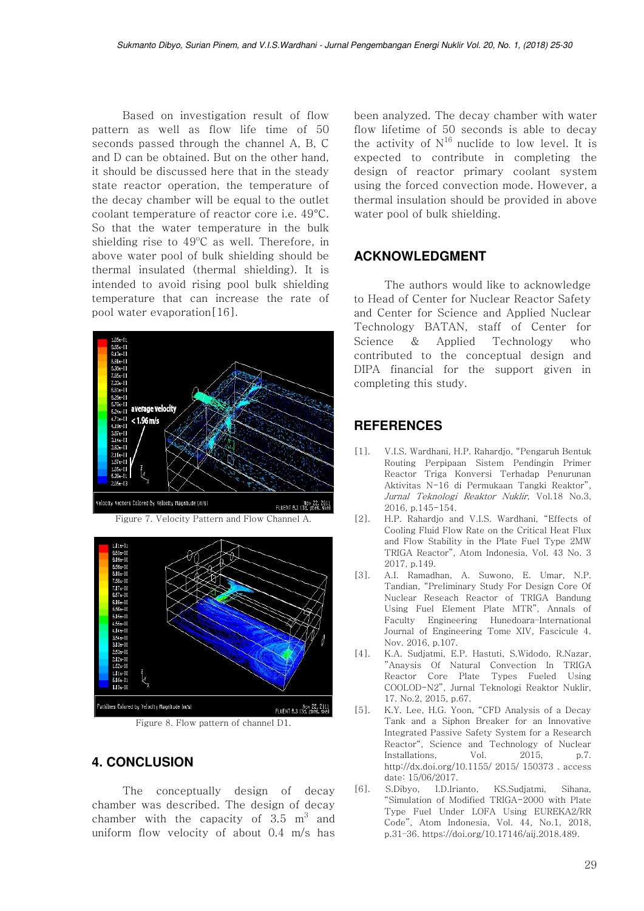*Based on investigation result of flow pattern as well as flow life time of 50 seconds passed through the channel A, B, C and D can be obtained. But on the other hand, it should be discussed here that in the steady state reactor operation, the temperature of the decay chamber will be equal to the outlet coolant temperature of reactor core i.e.* 49°C. *So that the water temperature in the bulk shielding rise to 49<sup>o</sup>C as well. Therefore, in above water pool of bulk shielding should be thermal insulated (thermal shielding). It is intended to avoid rising pool bulk shielding temperature that can increase the rate of pool water evaporation[16].* 





*Figure 8. Flow pattern of channel D1.* 

## **4. CONCLUSION**

*The conceptually design of decay chamber was described. The design of decay*  chamber with the capacity of  $3.5 \text{ m}^3$  and *uniform flow velocity of about 0.4 m/s has* 

*been analyzed. The decay chamber with water flow lifetime of 50 seconds is able to decay*  the activity of  $N^{16}$  nuclide to low level. It is *expected to contribute in completing the design of reactor primary coolant system using the forced convection mode. However, a thermal insulation should be provided in above water pool of bulk shielding.*

#### **ACKNOWLEDGMENT**

*The authors would like to acknowledge to Head of Center for Nuclear Reactor Safety and Center for Science and Applied Nuclear Technology BATAN, staff of Center for Science & Applied Technology who contributed to the conceptual design and DIPA financial for the support given in completing this study.* 

## **REFERENCES**

- *[1]. V.I.S. Wardhani, H.P. Rahardjo, »Pengaruh Bentuk Routing Perpipaan Sistem Pendingin Primer Reactor Triga Konversi Terhadap Penurunan Aktivitas N-16 di Permukaan Tangki Reaktor…, Jurnal Teknologi Reaktor Nuklir, Vol.18 No.3, 2016, p.145-154.*
- *[2]. H.P. Rahardjo and V.I.S. Wardhani, »Effects of Cooling Fluid Flow Rate on the Critical Heat Flux and Flow Stability in the Plate Fuel Type 2MW TRIGA Reactor…, Atom Indonesia, Vol. 43 No. 3 2017, p.149.*
- *[3]. A.I. Ramadhan, A. Suwono, E. Umar, N.P. Tandian, »Preliminary Study For Design Core Of Nuclear Reseach Reactor of TRIGA Bandung Using Fuel Element Plate MTR…, Annals of Faculty Engineering Hunedoara¿International Journal of Engineering Tome XIV, Fascicule 4. Nov. 2016, p.107.*
- *[4]. K.A. Sudjatmi, E.P. Hastuti, S.Widodo, R.Nazar, …Anaysis Of Natural Convection In TRIGA Reactor Core Plate Types Fueled Using COOLOD-N2…S Jurnal Teknologi Reaktor Nuklir, 17. No.2, 2015, p.67.*
- [5]. K.Y. Lee, H.G. Yoon, "CFD Analysis of a Decay *Tank and a Siphon Breaker for an Innovative Integrated Passive Safety System for a Research*   $R$ eactor", Science and Technology of Nuclear *Installations, Vol. 2015, p.7. http://dx.doi.org/10.1155/ 2015/ 150373 . access date: 15/06/2017.*
- *[6]. S.Dibyo, I.D.Irianto, KS.Sudjatmi, Sihana, »zêîúìàõêñïG ñçG tñãêçêåãG {ypnh-2000 with Plate Type Fuel Under LOFA Using EUREKA2/RR jñãå…SG Atom Indonesia, Vol. 44, No.1, 2018, p.31¿36. https://doi.org/10.17146/aij.2018.489.*